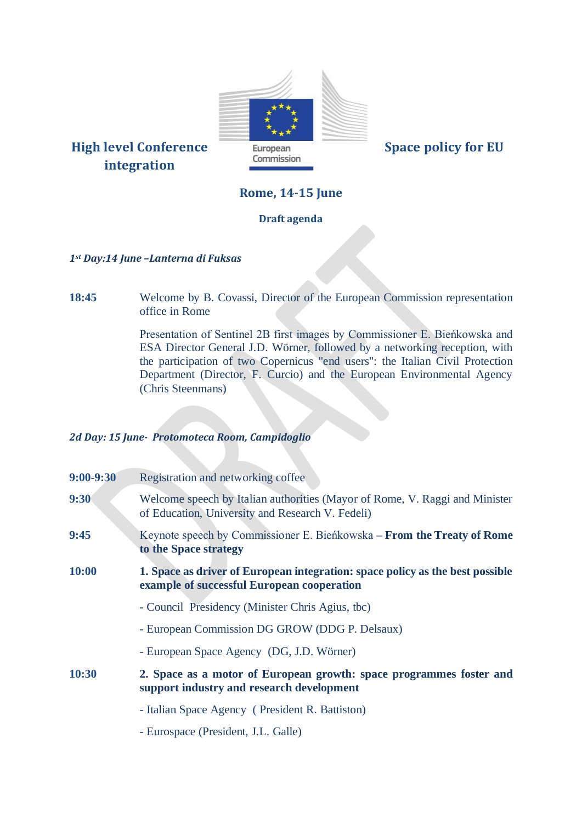

# **integration**

## **Rome, 14-15 June**

### **Draft agenda**

#### *1st Day:14 June –Lanterna di Fuksas*

**18:45** Welcome by B. Covassi, Director of the European Commission representation office in Rome

> Presentation of Sentinel 2B first images by Commissioner E. Bieńkowska and ESA Director General J.D. Wörner, followed by a networking reception, with the participation of two Copernicus "end users": the Italian Civil Protection Department (Director, F. Curcio) and the European Environmental Agency (Chris Steenmans)

#### *2d Day: 15 June- Protomoteca Room, Campidoglio*

| $9:00 - 9:30$ | Registration and networking coffee                                                                                              |
|---------------|---------------------------------------------------------------------------------------------------------------------------------|
| 9:30          | Welcome speech by Italian authorities (Mayor of Rome, V. Raggi and Minister<br>of Education, University and Research V. Fedeli) |
| 9:45          | Keynote speech by Commissioner E. Bieńkowska – From the Treaty of Rome<br>to the Space strategy                                 |
| 10:00         | 1. Space as driver of European integration: space policy as the best possible<br>example of successful European cooperation     |
|               | - Council Presidency (Minister Chris Agius, tbc)                                                                                |
|               | - European Commission DG GROW (DDG P. Delsaux)                                                                                  |
|               | - European Space Agency (DG, J.D. Wörner)                                                                                       |
| 10:30         | 2. Space as a motor of European growth: space programmes foster and<br>support industry and research development                |
|               | - Italian Space Agency (President R. Battiston)                                                                                 |
|               | - Eurospace (President, J.L. Galle)                                                                                             |